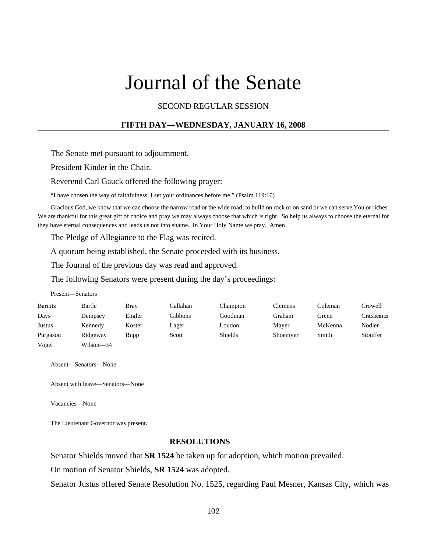# Journal of the Senate

SECOND REGULAR SESSION

# **FIFTH DAY—WEDNESDAY, JANUARY 16, 2008**

The Senate met pursuant to adjournment.

President Kinder in the Chair.

Reverend Carl Gauck offered the following prayer:

"I have chosen the way of faithfulness; I set your ordinances before me." (Psalm 119:10)

Gracious God, we know that we can choose the narrow road or the wide road; to build on rock or on sand or we can serve You or riches. We are thankful for this great gift of choice and pray we may always choose that which is right. So help us always to choose the eternal for they have eternal consequences and leads us not into shame. In Your Holy Name we pray. Amen.

The Pledge of Allegiance to the Flag was recited.

A quorum being established, the Senate proceeded with its business.

The Journal of the previous day was read and approved.

The following Senators were present during the day's proceedings:

|          | Present—Senators |        |          |                |          |         |             |
|----------|------------------|--------|----------|----------------|----------|---------|-------------|
| Barnitz  | Bartle           | Bray   | Callahan | Champion       | Clemens  | Coleman | Crowell     |
| Days     | Dempsey          | Engler | Gibbons  | Goodman        | Graham   | Green   | Griesheimer |
| Justus   | Kennedy          | Koster | Lager    | Loudon         | Mayer    | McKenna | Nodler      |
| Purgason | Ridgeway         | Rupp   | Scott    | <b>Shields</b> | Shoemyer | Smith   | Stouffer    |
| Vogel    | Wilson-34        |        |          |                |          |         |             |

Absent—Senators—None

Absent with leave—Senators—None

Vacancies—None

The Lieutenant Governor was present.

#### **RESOLUTIONS**

Senator Shields moved that **SR 1524** be taken up for adoption, which motion prevailed.

On motion of Senator Shields, **SR 1524** was adopted.

Senator Justus offered Senate Resolution No. 1525, regarding Paul Mesner, Kansas City, which was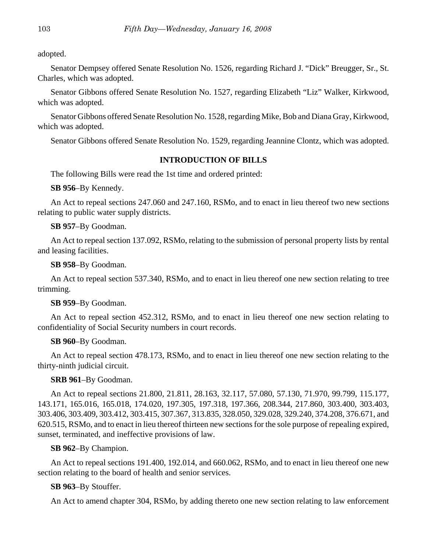adopted.

Senator Dempsey offered Senate Resolution No. 1526, regarding Richard J. "Dick" Breugger, Sr., St. Charles, which was adopted.

Senator Gibbons offered Senate Resolution No. 1527, regarding Elizabeth "Liz" Walker, Kirkwood, which was adopted.

Senator Gibbons offered Senate Resolution No. 1528, regarding Mike, Bob and Diana Gray, Kirkwood, which was adopted.

Senator Gibbons offered Senate Resolution No. 1529, regarding Jeannine Clontz, which was adopted.

# **INTRODUCTION OF BILLS**

The following Bills were read the 1st time and ordered printed:

**SB 956**–By Kennedy.

An Act to repeal sections 247.060 and 247.160, RSMo, and to enact in lieu thereof two new sections relating to public water supply districts.

**SB 957**–By Goodman.

An Act to repeal section 137.092, RSMo, relating to the submission of personal property lists by rental and leasing facilities.

**SB 958**–By Goodman.

An Act to repeal section 537.340, RSMo, and to enact in lieu thereof one new section relating to tree trimming.

**SB 959**–By Goodman.

An Act to repeal section 452.312, RSMo, and to enact in lieu thereof one new section relating to confidentiality of Social Security numbers in court records.

# **SB 960**–By Goodman.

An Act to repeal section 478.173, RSMo, and to enact in lieu thereof one new section relating to the thirty-ninth judicial circuit.

#### **SRB 961**–By Goodman.

An Act to repeal sections 21.800, 21.811, 28.163, 32.117, 57.080, 57.130, 71.970, 99.799, 115.177, 143.171, 165.016, 165.018, 174.020, 197.305, 197.318, 197.366, 208.344, 217.860, 303.400, 303.403, 303.406, 303.409, 303.412, 303.415, 307.367, 313.835, 328.050, 329.028, 329.240, 374.208, 376.671, and 620.515, RSMo, and to enact in lieu thereof thirteen new sections for the sole purpose of repealing expired, sunset, terminated, and ineffective provisions of law.

# **SB 962**–By Champion.

An Act to repeal sections 191.400, 192.014, and 660.062, RSMo, and to enact in lieu thereof one new section relating to the board of health and senior services.

#### **SB 963**–By Stouffer.

An Act to amend chapter 304, RSMo, by adding thereto one new section relating to law enforcement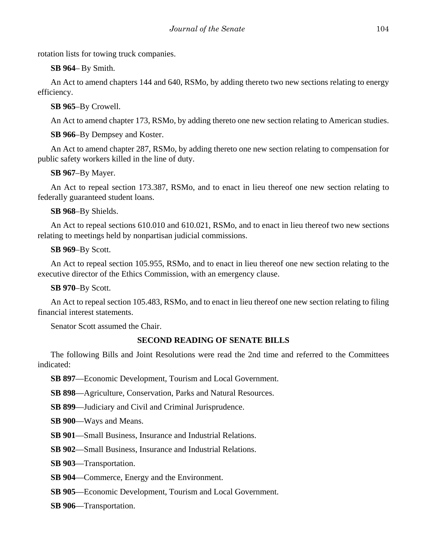rotation lists for towing truck companies.

**SB 964**– By Smith.

An Act to amend chapters 144 and 640, RSMo, by adding thereto two new sections relating to energy efficiency.

**SB 965**–By Crowell.

An Act to amend chapter 173, RSMo, by adding thereto one new section relating to American studies.

**SB 966**–By Dempsey and Koster.

An Act to amend chapter 287, RSMo, by adding thereto one new section relating to compensation for public safety workers killed in the line of duty.

**SB 967**–By Mayer.

An Act to repeal section 173.387, RSMo, and to enact in lieu thereof one new section relating to federally guaranteed student loans.

**SB 968**–By Shields.

An Act to repeal sections 610.010 and 610.021, RSMo, and to enact in lieu thereof two new sections relating to meetings held by nonpartisan judicial commissions.

**SB 969**–By Scott.

An Act to repeal section 105.955, RSMo, and to enact in lieu thereof one new section relating to the executive director of the Ethics Commission, with an emergency clause.

**SB 970**–By Scott.

An Act to repeal section 105.483, RSMo, and to enact in lieu thereof one new section relating to filing financial interest statements.

Senator Scott assumed the Chair.

# **SECOND READING OF SENATE BILLS**

The following Bills and Joint Resolutions were read the 2nd time and referred to the Committees indicated:

**SB 897**—Economic Development, Tourism and Local Government.

**SB 898**—Agriculture, Conservation, Parks and Natural Resources.

**SB 899**—Judiciary and Civil and Criminal Jurisprudence.

**SB 900**—Ways and Means.

**SB 901**—Small Business, Insurance and Industrial Relations.

**SB 902**—Small Business, Insurance and Industrial Relations.

**SB 903**—Transportation.

**SB 904**—Commerce, Energy and the Environment.

**SB 905**—Economic Development, Tourism and Local Government.

**SB 906**—Transportation.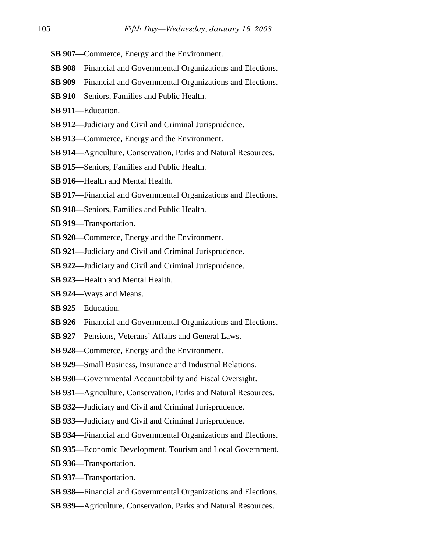- **SB 907**—Commerce, Energy and the Environment.
- **SB 908**—Financial and Governmental Organizations and Elections.
- **SB 909**—Financial and Governmental Organizations and Elections.
- **SB 910**—Seniors, Families and Public Health.
- **SB 911**—Education.
- **SB 912**—Judiciary and Civil and Criminal Jurisprudence.
- **SB 913**—Commerce, Energy and the Environment.
- **SB 914**—Agriculture, Conservation, Parks and Natural Resources.
- **SB 915**—Seniors, Families and Public Health.
- **SB 916**—Health and Mental Health.
- **SB 917**—Financial and Governmental Organizations and Elections.
- **SB 918**—Seniors, Families and Public Health.
- **SB 919**—Transportation.
- **SB 920**—Commerce, Energy and the Environment.
- **SB 921**—Judiciary and Civil and Criminal Jurisprudence.
- **SB 922**—Judiciary and Civil and Criminal Jurisprudence.
- **SB 923**—Health and Mental Health.
- **SB 924**—Ways and Means.
- **SB 925**—Education.
- **SB 926**—Financial and Governmental Organizations and Elections.
- **SB 927**—Pensions, Veterans' Affairs and General Laws.
- **SB 928**—Commerce, Energy and the Environment.
- **SB 929**—Small Business, Insurance and Industrial Relations.
- **SB 930**—Governmental Accountability and Fiscal Oversight.
- **SB 931**—Agriculture, Conservation, Parks and Natural Resources.
- **SB 932**—Judiciary and Civil and Criminal Jurisprudence.
- **SB 933**—Judiciary and Civil and Criminal Jurisprudence.
- **SB 934**—Financial and Governmental Organizations and Elections.
- **SB 935**—Economic Development, Tourism and Local Government.
- **SB 936**—Transportation.
- **SB 937**—Transportation.
- **SB 938**—Financial and Governmental Organizations and Elections.
- **SB 939**—Agriculture, Conservation, Parks and Natural Resources.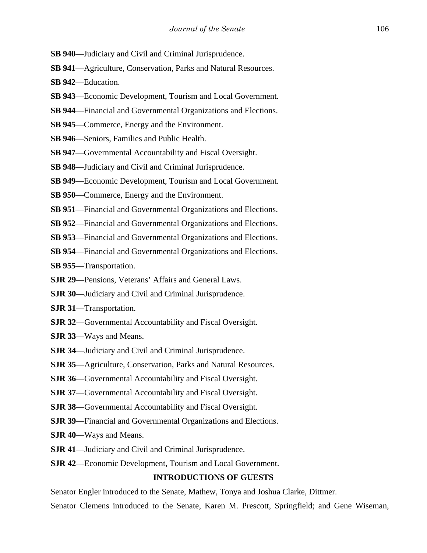- **SB 940**—Judiciary and Civil and Criminal Jurisprudence.
- **SB 941**—Agriculture, Conservation, Parks and Natural Resources.
- **SB 942**—Education.
- **SB 943**—Economic Development, Tourism and Local Government.
- **SB 944**—Financial and Governmental Organizations and Elections.
- **SB 945**—Commerce, Energy and the Environment.
- **SB 946**—Seniors, Families and Public Health.
- **SB 947**—Governmental Accountability and Fiscal Oversight.
- **SB 948**—Judiciary and Civil and Criminal Jurisprudence.
- **SB 949**—Economic Development, Tourism and Local Government.
- **SB 950**—Commerce, Energy and the Environment.
- **SB 951**—Financial and Governmental Organizations and Elections.
- **SB 952**—Financial and Governmental Organizations and Elections.
- **SB 953**—Financial and Governmental Organizations and Elections.
- **SB 954**—Financial and Governmental Organizations and Elections.
- **SB 955**—Transportation.
- **SJR 29**—Pensions, Veterans' Affairs and General Laws.
- **SJR 30**—Judiciary and Civil and Criminal Jurisprudence.
- **SJR 31**—Transportation.
- **SJR 32**—Governmental Accountability and Fiscal Oversight.
- **SJR 33**—Ways and Means.
- **SJR 34**—Judiciary and Civil and Criminal Jurisprudence.
- **SJR 35**—Agriculture, Conservation, Parks and Natural Resources.
- **SJR 36**—Governmental Accountability and Fiscal Oversight.
- **SJR 37**—Governmental Accountability and Fiscal Oversight.
- **SJR 38**—Governmental Accountability and Fiscal Oversight.
- **SJR 39**—Financial and Governmental Organizations and Elections.
- **SJR 40**—Ways and Means.
- **SJR 41**—Judiciary and Civil and Criminal Jurisprudence.
- **SJR 42**—Economic Development, Tourism and Local Government.

# **INTRODUCTIONS OF GUESTS**

Senator Engler introduced to the Senate, Mathew, Tonya and Joshua Clarke, Dittmer.

Senator Clemens introduced to the Senate, Karen M. Prescott, Springfield; and Gene Wiseman,